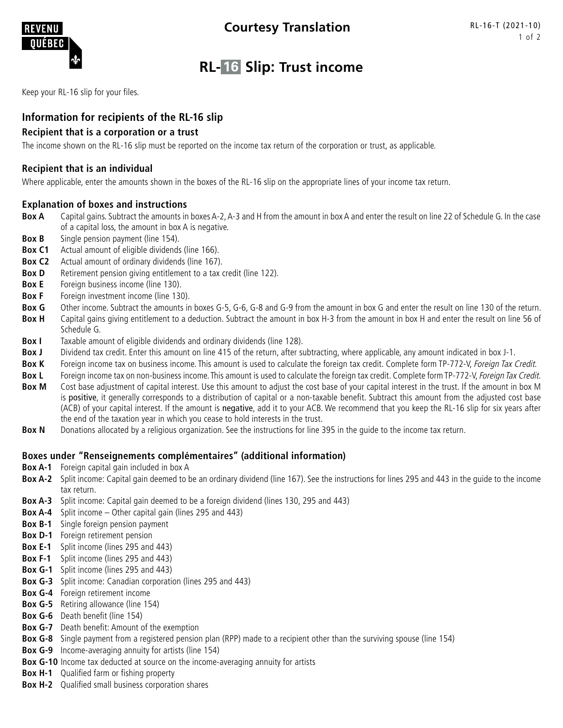

# **RL- 16 Slip: Trust income**

Keep your RL-16 slip for your files.

# **Information for recipients of the RL-16 slip**

## **Recipient that is a corporation or a trust**

The income shown on the RL-16 slip must be reported on the income tax return of the corporation or trust, as applicable.

#### **Recipient that is an individual**

Where applicable, enter the amounts shown in the boxes of the RL-16 slip on the appropriate lines of your income tax return.

## **Explanation of boxes and instructions**

- Box A Capital gains. Subtract the amounts in boxes A-2, A-3 and H from the amount in box A and enter the result on line 22 of Schedule G. In the case of a capital loss, the amount in box A is negative.
- **Box B** Single pension payment (line 154).
- **Box C1** Actual amount of eligible dividends (line 166).
- **Box C2** Actual amount of ordinary dividends (line 167).
- **Box D** Retirement pension giving entitlement to a tax credit (line 122).
- **Box E** Foreign business income (line 130).
- **Box F** Foreign investment income (line 130).
- **Box G** Other income. Subtract the amounts in boxes G-5, G-6, G-8 and G-9 from the amount in box G and enter the result on line 130 of the return.
- **Box H** Capital gains giving entitlement to a deduction. Subtract the amount in box H-3 from the amount in box H and enter the result on line 56 of Schedule G.
- **Box I** Taxable amount of eligible dividends and ordinary dividends (line 128).
- **Box J** Dividend tax credit. Enter this amount on line 415 of the return, after subtracting, where applicable, any amount indicated in box J-1.
- Box K Foreign income tax on business income. This amount is used to calculate the foreign tax credit. Complete form TP-772-V, Foreign Tax Credit.
- **Box L** Foreign income tax on non-business income. This amount is used to calculate the foreign tax credit. Complete form TP-772-V, Foreign Tax Credit.
- **Box M** Cost base adjustment of capital interest. Use this amount to adjust the cost base of your capital interest in the trust. If the amount in box M is positive, it generally corresponds to a distribution of capital or a non-taxable benefit. Subtract this amount from the adjusted cost base (ACB) of your capital interest. If the amount is negative, add it to your ACB. We recommend that you keep the RL-16 slip for six years after the end of the taxation year in which you cease to hold interests in the trust.
- **Box N** Donations allocated by a religious organization. See the instructions for line 395 in the quide to the income tax return.

#### **Boxes under "Renseignements complémentaires" (additional information)**

- **Box A-1** Foreign capital gain included in box A
- **Box A-2** Split income: Capital gain deemed to be an ordinary dividend (line 167). See the instructions for lines 295 and 443 in the guide to the income tax return.
- **Box A-3** Split income: Capital gain deemed to be a foreign dividend (lines 130, 295 and 443)
- **Box A-4** Split income Other capital gain (lines 295 and 443)
- **Box B-1** Single foreign pension payment
- **Box D-1** Foreign retirement pension
- **Box E-1** Split income (lines 295 and 443)
- **Box F-1** Split income (lines 295 and 443)
- **Box G-1** Split income (lines 295 and 443)
- **Box G-3** Split income: Canadian corporation (lines 295 and 443)
- **Box G-4** Foreign retirement income
- **Box G-5** Retiring allowance (line 154)
- **Box G-6** Death benefit (line 154)
- **Box G-7** Death benefit: Amount of the exemption
- **Box G-8** Single payment from a registered pension plan (RPP) made to a recipient other than the surviving spouse (line 154)
- **Box G-9** Income-averaging annuity for artists (line 154)
- **Box G-10** Income tax deducted at source on the income-averaging annuity for artists
- **Box H-1** Qualified farm or fishing property
- **Box H-2** Qualified small business corporation shares